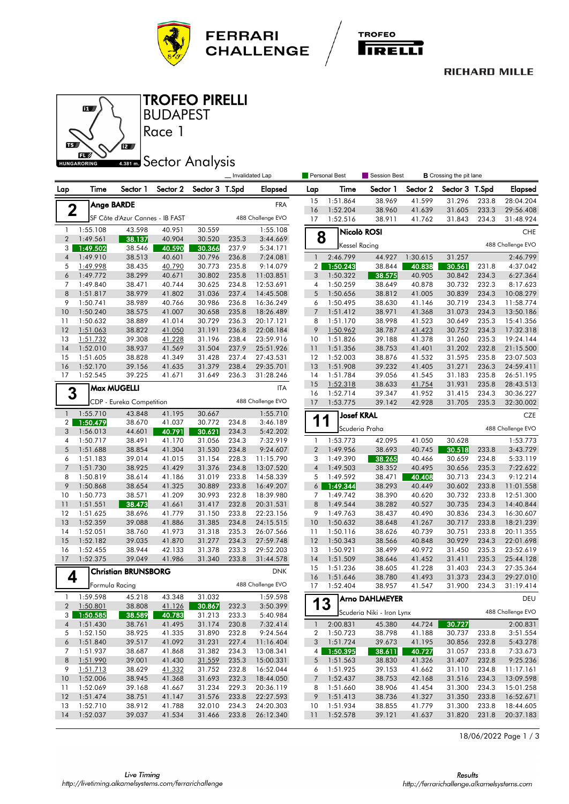



#### **RICHARD MILLE**



### BUDAPEST TROFEO PIRELLI

# **ABB1 mm** Sector Analysis

Race 1

|                      |                      |                                 |                  |                  |                | Invalidated Lap        |                                | Personal Best        | Session Best<br><b>B</b> Crossing the pit lane |                    |                  |                |                        |
|----------------------|----------------------|---------------------------------|------------------|------------------|----------------|------------------------|--------------------------------|----------------------|------------------------------------------------|--------------------|------------------|----------------|------------------------|
| Lap                  | Time                 | Sector 1                        | Sector 2         | Sector 3 T.Spd   |                | <b>Elapsed</b>         | Lap                            | Time                 | Sector 1                                       | Sector 2           | Sector 3 T.Spd   |                | Elapsed                |
|                      |                      | <b>Ange BARDE</b>               |                  |                  |                | <b>FRA</b>             | 15                             | 1:51.864             | 38.969                                         | 41.599             | 31.296           | 233.8          | 28:04.204              |
| $\mathbf 2$          |                      |                                 |                  |                  |                |                        | 16                             | 1:52.204             | 38.960                                         | 41.639             | 31.605           | 233.3          | 29:56.408              |
|                      |                      | SF Côte d'Azur Cannes - IB FAST |                  |                  |                | 488 Challenge EVO      | 17                             | 1:52.516             | 38.911                                         | 41.762             | 31.843           | 234.3          | 31:48.924              |
| $\mathbf{1}$         | 1:55.108             | 43.598                          | 40.951           | 30.559           |                | 1:55.108               |                                |                      | Nicolò ROSI                                    |                    |                  |                | <b>CHE</b>             |
| $\overline{2}$       | 1:49.561             | 38.137                          | 40.904           | 30.520           | 235.3          | 3:44.669               | 8                              | <b>Kessel Racing</b> |                                                |                    |                  |                | 488 Challenge EVO      |
| 3                    | 1:49.502             | 38.546                          | 40.590           | 30.366           | 237.9          | 5:34.171               |                                |                      |                                                |                    |                  |                |                        |
| $\overline{4}$<br>5  | 1:49.910<br>1:49.998 | 38.513<br>38.435                | 40.601<br>40.790 | 30.796<br>30.773 | 236.8<br>235.8 | 7:24.081<br>9:14.079   | $\mathbf{1}$<br>2 <sub>1</sub> | 2:46.799<br>1:50.243 | 44.927<br>38.844                               | 1:30.615<br>40.838 | 31.257<br>30.561 | 231.8          | 2:46.799<br>4:37.042   |
| 6                    | 1:49.772             | 38.299                          | 40.671           | 30.802           | 235.8          | 11:03.851              | 3                              | 1:50.322             | 38.575                                         | 40.905             | 30.842           | 234.3          | 6:27.364               |
| 7                    | 1:49.840             | 38.471                          | 40.744           | 30.625           | 234.8          | 12:53.691              | 4                              | 1:50.259             | 38.649                                         | 40.878             | 30.732           | 232.3          | 8:17.623               |
| 8                    | 1:51.817             | 38.979                          | 41.802           | 31.036           | 237.4          | 14:45.508              | 5                              | 1:50.656             | 38.812                                         | 41.005             | 30.839           | 234.3          | 10:08.279              |
| 9                    | 1:50.741             | 38.989                          | 40.766           | 30.986           | 236.8          | 16:36.249              | 6                              | 1:50.495             | 38.630                                         | 41.146             | 30.719           | 234.3          | 11:58.774              |
| 10                   | 1:50.240             | 38.575                          | 41.007           | 30.658           | 235.8          | 18:26.489              | $\overline{7}$                 | 1:51.412             | 38.971                                         | 41.368             | 31.073           | 234.3          | 13:50.186              |
| 11                   | 1:50.632             | 38.889                          | 41.014           | 30.729           | 236.3          | 20:17.121              | 8                              | 1:51.170             | 38.998                                         | 41.523             | 30.649           | 235.3          | 15:41.356              |
| 12                   | 1:51.063             | 38.822                          | 41.050           | 31.191           | 236.8          | 22:08.184              | 9                              | 1:50.962             | 38.787                                         | 41.423             | 30.752           | 234.3          | 17:32.318              |
| 13                   | 1:51.732             | 39.308                          | 41.228           | 31.196           | 238.4          | 23:59.916              | 10                             | 1:51.826             | 39.188                                         | 41.378             | 31.260           | 235.3          | 19:24.144              |
| 14                   | 1:52.010             | 38.937                          | 41.569           | 31.504           | 237.9          | 25:51.926              | 11                             | 1:51.356             | 38.753                                         | 41.401             | 31.202           | 232.8          | 21:15.500              |
| 15                   | 1:51.605             | 38.828                          | 41.349           | 31.428           | 237.4          | 27:43.531              | 12                             | 1:52.003             | 38.876                                         | 41.532             | 31.595           | 235.8          | 23:07.503              |
| 16                   | 1:52.170             | 39.156                          | 41.635           | 31.379           | 238.4          | 29:35.701              | 13                             | 1:51.908             | 39.232                                         | 41.405             | 31.271           | 236.3          | 24:59.411              |
| 17                   | 1:52.545             | 39.225                          | 41.671           | 31.649           | 236.3          | 31:28.246              | 14                             | 1:51.784             | 39.056                                         | 41.545             | 31.183           | 235.8          | 26:51.195              |
|                      |                      | <b>Max MUGELLI</b>              |                  |                  |                | <b>ITA</b>             | 15                             | 1:52.318             | 38.633                                         | 41.754             | 31.931           | 235.8          | 28:43.513              |
| 3                    |                      |                                 |                  |                  |                |                        | 16                             | 1:52.714             | 39.347                                         | 41.952             | 31.415           | 234.3          | 30:36.227              |
|                      |                      | CDP - Eureka Competition        |                  |                  |                | 488 Challenge EVO      | 17                             | 1:53.775             | 39.142                                         | 42.928             | 31.705           | 235.3          | 32:30.002              |
| $\mathbf{1}$         | 1:55.710             | 43.848                          | 41.195           | 30.667           |                | 1:55.710               |                                | <b>Josef KRAL</b>    |                                                |                    |                  |                | CZE                    |
| $\overline{2}$       | 1:50.479             | 38.670                          | 41.037           | 30.772           | 234.8          | 3:46.189               | 1                              | 1                    | Scuderia Praha                                 |                    |                  |                | 488 Challenge EVO      |
| 3                    | 1:56.013             | 44.601                          | 40.791           | 30.621           | 234.3          | 5:42.202               |                                |                      |                                                |                    |                  |                |                        |
| 4                    | 1:50.717             | 38.491                          | 41.170           | 31.056           | 234.3          | 7:32.919               | 1                              | 1:53.773             | 42.095                                         | 41.050             | 30.628           |                | 1:53.773               |
| 5                    | 1:51.688             | 38.854                          | 41.304           | 31.530           | 234.8          | 9:24.607               | $\overline{2}$                 | 1:49.956             | 38.693                                         | 40.745             | 30.518           | 233.8          | 3:43.729               |
| 6<br>$7\overline{ }$ | 1:51.183             | 39.014                          | 41.015           | 31.154           | 228.3          | 11:15.790              | 3                              | 1:49.390             | 38.265                                         | 40.466             | 30.659           | 234.8          | 5:33.119               |
|                      | 1:51.730             | 38.925                          | 41.429           | 31.376           | 234.8          | 13:07.520              | $\sqrt{4}$                     | 1:49.503             | 38.352                                         | 40.495             | 30.656           | 235.3          | 7:22.622               |
| 8<br>9               | 1:50.819<br>1:50.868 | 38.614<br>38.654                | 41.186<br>41.325 | 31.019<br>30.889 | 233.8<br>233.8 | 14:58.339              | 5<br>6 <sup>1</sup>            | 1:49.592<br>1:49.344 | 38.471<br>38.293                               | 40.408<br>40.449   | 30.713<br>30.602 | 234.3<br>233.8 | 9:12.214<br>11:01.558  |
| 10                   | 1:50.773             | 38.571                          | 41.209           | 30.993           | 232.8          | 16:49.207<br>18:39.980 | 7                              | 1:49.742             | 38.390                                         | 40.620             | 30.732           | 233.8          | 12:51.300              |
| 11                   | 1:51.551             | 38.473                          | 41.661           | 31.417           | 232.8          | 20:31.531              | 8                              | 1:49.544             | 38.282                                         | 40.527             | 30.735           | 234.3          | 14:40.844              |
| 12                   | 1:51.625             | 38.696                          | 41.779           | 31.150           | 233.8          | 22:23.156              | 9                              | 1:49.763             | 38.437                                         | 40.490             | 30.836           | 234.3          | 16:30.607              |
| 13                   | 1:52.359             | 39.088                          | 41.886           | 31.385           | 234.8          | 24:15.515              | 10                             | 1:50.632             | 38.648                                         | 41.267             | 30.717           | 233.8          | 18:21.239              |
| 14                   | 1:52.051             | 38.760                          | 41.973           | 31.318           | 235.3          | 26:07.566              | 11                             | 1:50.116             | 38.626                                         | 40.739             | 30.751           | 233.8          | 20:11.355              |
| 15                   | 1:52.182             | 39.035                          | 41.870           | 31.277           | 234.3          | 27:59.748              | 12                             | 1:50.343             | 38.566                                         | 40.848             | 30.929           | 234.3          | 22:01.698              |
| 16                   | 1:52.455             | 38.944                          | 42.133           | 31.378           | 233.3          | 29:52.203              | 13                             | 1:50.921             | 38.499                                         | 40.972             | 31.450           | 235.3          | 23:52.619              |
| 17                   | 1:52.375             | 39.049                          | 41.986           | 31.340           | 233.8          | 31:44.578              | 14                             | 1:51.509             | 38.646                                         | 41.452             | 31.411           | 235.3          | 25:44.128              |
|                      |                      | <b>Christian BRUNSBORG</b>      |                  |                  |                | <b>DNK</b>             | 15                             | 1:51.236             | 38.605                                         | 41.228             | 31.403           | 234.3          | 27:35.364              |
| 4                    |                      |                                 |                  |                  |                |                        | 16                             | 1:51.646             | 38.780                                         | 41.493             | 31.373           | 234.3          | 29:27.010              |
|                      |                      | Formula Racing                  |                  |                  |                | 488 Challenge EVO      | 17                             | 1:52.404             | 38.957                                         | 41.547             | 31.900           | 234.3          | 31:19.414              |
| $\mathbf{1}$         | 1:59.598             | 45.218                          | 43.348           | 31.032           |                | 1:59.598               |                                |                      | Arno DAHLMEYER                                 |                    |                  |                | DEU                    |
| $\mathbf{2}$         | 1:50.801             | 38.808                          | 41.126           | 30.867           | 232.3          | 3:50.399               | 13                             |                      |                                                |                    |                  |                |                        |
| 3                    | 1:50.585             | 38.589                          | 40.783           | 31.213           | 233.3          | 5:40.984               |                                |                      | Scuderia Niki - Iron Lynx                      |                    |                  |                | 488 Challenge EVO      |
| 4                    | 1:51.430             | 38.761                          | 41.495           | 31.174           | 230.8          | 7:32.414               | $\mathbf{1}$                   | 2:00.831             | 45.380                                         | 44.724             | 30.727           |                | 2:00.831               |
| 5                    | 1:52.150             | 38.925                          | 41.335           | 31.890           | 232.8          | 9:24.564               | 2                              | 1:50.723             | 38.798                                         | 41.188             | 30.737           | 233.8          | 3:51.554               |
| 6                    | 1:51.840             | 39.517                          | 41.092           | 31.231           | 227.4          | 11:16.404              | 3                              | 1:51.724             | 39.673                                         | 41.195             | 30.856           | 232.8          | 5:43.278               |
| 7                    | 1:51.937             | 38.687                          | 41.868           | 31.382           | 234.3          | 13:08.341              | 4 <sup>1</sup>                 | 1:50.395             | 38.611                                         | 40.727             | 31.057           | 233.8          | 7:33.673               |
| 8                    | 1:51.990             | 39.001                          | 41.430           | 31.559           | 235.3          | 15:00.331              | 5                              | 1:51.563             | 38.830                                         | 41.326             | 31.407           | 232.8          | 9:25.236               |
| 9                    | 1:51.713             | 38.629                          | 41.332           | 31.752           | 232.8          | 16:52.044              | 6                              | 1:51.925             | 39.153                                         | 41.662             | 31.110           | 234.8          | 11:17.161              |
| 10                   | 1:52.006             | 38.945                          | 41.368           | 31.693           | 232.3          | 18:44.050              | 7                              | 1:52.437             | 38.753                                         | 42.168             | 31.516           | 234.3          | 13:09.598              |
| 11                   | 1:52.069             | 39.168                          | 41.667           | 31.234           | 229.3          | 20:36.119              | 8                              | 1:51.660             | 38.906                                         | 41.454             | 31.300           | 234.3          | 15:01.258              |
| 12<br>13             | 1:51.474<br>1:52.710 | 38.751<br>38.912                | 41.147           | 31.576<br>32.010 | 233.8<br>234.3 | 22:27.593              | 9                              | 1:51.413<br>1:51.934 | 38.736<br>38.855                               | 41.327<br>41.779   | 31.350<br>31.300 | 233.8<br>233.8 | 16:52.671<br>18:44.605 |
| 14                   | 1:52.037             | 39.037                          | 41.788<br>41.534 | 31.466           | 233.8          | 24:20.303<br>26:12.340 | 10<br>11                       | 1:52.578             | 39.121                                         | 41.637             | 31.820           | 231.8          | 20:37.183              |
|                      |                      |                                 |                  |                  |                |                        |                                |                      |                                                |                    |                  |                |                        |

18/06/2022 Page 1 / 3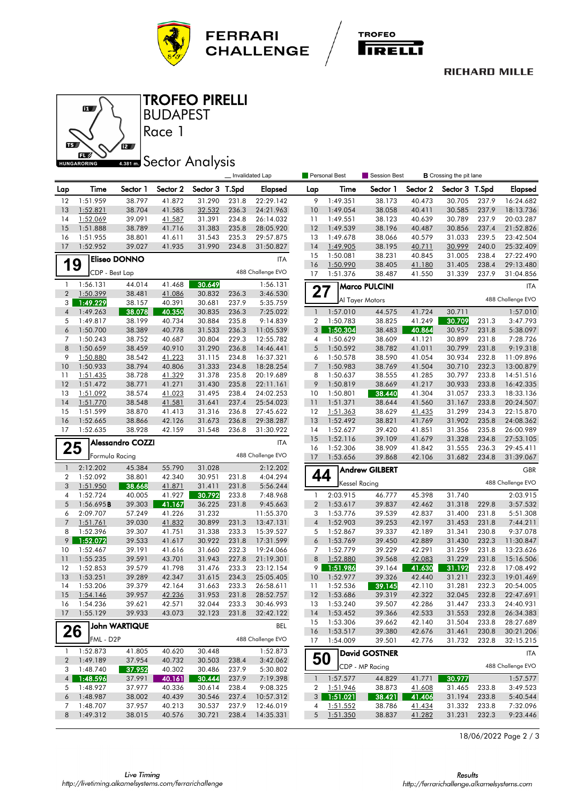



### **RICHARD MILLE**



BUDAPEST TROFEO PIRELLI

# **4.381 mm** Sector Analysis

Race 1

|                                |                      |                         |                  |                  |                | Invalidated Lap      |                | <b>Personal Best</b> | <b>Session Best</b><br><b>B</b> Crossing the pit lane |          |                |       |                   |
|--------------------------------|----------------------|-------------------------|------------------|------------------|----------------|----------------------|----------------|----------------------|-------------------------------------------------------|----------|----------------|-------|-------------------|
| Lap                            | Time                 | Sector 1                | Sector 2         | Sector 3         | T.Spd          | Elapsed              | Lap            | Time                 | Sector 1                                              | Sector 2 | Sector 3 T.Spd |       | Elapsed           |
| 12                             | 1:51.959             | 38.797                  | 41.872           | 31.290           | 231.8          | 22:29.142            | 9              | 1:49.351             | 38.173                                                | 40.473   | 30.705         | 237.9 | 16:24.682         |
| 13                             | 1:52.821             | 38.704                  | 41.585           | 32.532           | 236.3          | 24:21.963            | 10             | 1:49.054             | 38.058                                                | 40.411   | 30.585         | 237.9 | 18:13.736         |
| 14                             | 1:52.069             | 39.091                  | 41.587           | 31.391           | 234.8          | 26:14.032            | 11             | 1:49.551             | 38.123                                                | 40.639   | 30.789         | 237.9 | 20:03.287         |
| 15                             | 1:51.888             | 38.789                  | 41.716           | 31.383           | 235.8          | 28:05.920            | 12             | 1:49.539             | 38.196                                                | 40.487   | 30.856         | 237.4 | 21:52.826         |
| 16                             | 1:51.955             | 38.801                  | 41.611           | 31.543           | 235.3          | 29:57.875            | 13             | 1:49.678             | 38.066                                                | 40.579   | 31.033         | 239.5 | 23:42.504         |
| 17                             | 1:52.952             | 39.027                  | 41.935           | 31.990           | 234.8          | 31:50.827            | 14             | 1:49.905             | 38.195                                                | 40.711   | 30.999         | 240.0 | 25:32.409         |
|                                |                      | <b>Eliseo DONNO</b>     |                  |                  |                | <b>ITA</b>           | 15             | 1:50.081             | 38.231                                                | 40.845   | 31.005         | 238.4 | 27:22.490         |
| 19                             |                      |                         |                  |                  |                |                      | 16             | 1:50.990             | 38.405                                                | 41.180   | 31.405         | 238.4 | 29:13.480         |
|                                | CDP - Best Lap       |                         |                  |                  |                | 488 Challenge EVO    | 17             | 1:51.376             | 38.487                                                | 41.550   | 31.339         | 237.9 | 31:04.856         |
| $\mathbf{1}$<br>$\overline{2}$ | 1:56.131<br>1:50.399 | 44.014<br>38.481        | 41.468<br>41.086 | 30.649<br>30.832 | 236.3          | 1:56.131<br>3:46.530 | 27             |                      | <b>Marco PULCINI</b>                                  |          |                |       | <b>ITA</b>        |
| 3                              | 1:49.229             | 38.157                  | 40.391           | 30.681           | 237.9          | 5:35.759             |                |                      | Al Tayer Motors                                       |          |                |       | 488 Challenge EVO |
| 4                              | 1:49.263             | 38.078                  | 40.350           | 30.835           | 236.3          | 7:25.022             | $\mathbf{1}$   | 1:57.010             | 44.575                                                | 41.724   | 30.711         |       | 1:57.010          |
| 5                              | 1:49.817             | 38.199                  | 40.734           | 30.884           | 235.8          | 9:14.839             | $\overline{2}$ | 1:50.783             | 38.825                                                | 41.249   | 30.709         | 231.3 | 3:47.793          |
| 6                              | 1:50.700             | 38.389                  | 40.778           | 31.533           | 236.3          | 11:05.539            | 3 <sup>1</sup> | 1:50.304             | 38.483                                                | 40.864   | 30.957         | 231.8 | 5:38.097          |
| 7                              | 1:50.243             | 38.752                  | 40.687           | 30.804           | 229.3          | 12:55.782            | $\overline{4}$ | 1:50.629             | 38.609                                                | 41.121   | 30.899         | 231.8 | 7:28.726          |
| 8                              | 1:50.659             | 38.459                  | 40.910           | 31.290           | 236.8          | 14:46.441            | 5              | 1:50.592             | 38.782                                                | 41.011   | 30.799         | 231.8 | 9:19.318          |
| 9                              | 1:50.880             | 38.542                  | 41.223           | 31.115           | 234.8          | 16:37.321            | 6              | 1:50.578             | 38.590                                                | 41.054   | 30.934         | 232.8 | 11:09.896         |
| 10                             | 1:50.933             | 38.794                  | 40.806           | 31.333           | 234.8          | 18:28.254            | $\overline{7}$ | 1:50.983             | 38.769                                                | 41.504   | 30.710         | 232.3 | 13:00.879         |
| 11                             | 1:51.435             | 38.728                  | 41.329           | 31.378           | 235.8          | 20:19.689            | 8              | 1:50.637             | 38.555                                                | 41.285   | 30.797         | 233.8 | 14:51.516         |
| 12                             | 1:51.472             | 38.771                  | 41.271           | 31.430           | 235.8          | 22:11.161            | 9              | 1:50.819             | 38.669                                                | 41.217   | 30.933         | 233.8 | 16:42.335         |
| 13                             | 1:51.092             | 38.574                  | 41.023           | 31.495           | 238.4          | 24:02.253            | 10             | 1:50.801             | 38.440                                                | 41.304   | 31.057         | 233.3 | 18:33.136         |
| 14                             | 1:51.770             | 38.548                  | 41.581           | 31.641           | 237.4          | 25:54.023            | 11             | 1:51.371             | 38.644                                                | 41.560   | 31.167         | 233.8 | 20:24.507         |
| 15                             | 1:51.599             | 38.870                  | 41.413           | 31.316           | 236.8          | 27:45.622            | 12             | 1:51.363             | 38.629                                                | 41.435   | 31.299         | 234.3 | 22:15.870         |
| 16                             | 1:52.665             | 38.866                  | 42.126           | 31.673           | 236.8          | 29:38.287            | 13             | 1:52.492             | 38.821                                                | 41.769   | 31.902         | 235.8 | 24:08.362         |
| 17                             | 1:52.635             | 38.928                  | 42.159           | 31.548           | 236.8          | 31:30.922            | 14             | 1:52.627             | 39.420                                                | 41.851   | 31.356         | 235.8 | 26:00.989         |
|                                |                      | <b>Alessandro COZZI</b> |                  |                  |                | <b>ITA</b>           | 15             | 1:52.116             | 39.109                                                | 41.679   | 31.328         | 234.8 | 27:53.105         |
| 25                             |                      |                         |                  |                  |                | 488 Challenge EVO    | 16             | 1:52.306             | 38.909                                                | 41.842   | 31.555         | 236.3 | 29:45.411         |
|                                | Formula Racing       |                         |                  |                  |                |                      | 17             | 1:53.656             | 39.868                                                | 42.106   | 31.682         | 234.8 | 31:39.067         |
| $\mathbf{1}$<br>$\overline{2}$ | 2:12.202<br>1:52.092 | 45.384<br>38.801        | 55.790<br>42.340 | 31.028<br>30.951 | 231.8          | 2:12.202<br>4:04.294 | 44             |                      | <b>Andrew GILBERT</b>                                 |          |                |       | <b>GBR</b>        |
| 3                              | 1:51.950             | 38.668                  | 41.871           | 31.411           | 231.8          | 5:56.244             |                | Kessel Racing        |                                                       |          |                |       | 488 Challenge EVO |
| 4                              | 1:52.724             | 40.005                  | 41.927           | 30.792           | 233.8          | 7:48.968             | $\mathbf{1}$   | 2:03.915             | 46.777                                                | 45.398   | 31.740         |       | 2:03.915          |
| 5                              | 1:56.695B            | 39.303                  | 41.167           | 36.225           | 231.8          | 9:45.663             | $\overline{2}$ | 1:53.617             | 39.837                                                | 42.462   | 31.318         | 229.8 | 3:57.532          |
| 6                              | 2:09.707             | 57.249                  | 41.226           | 31.232           |                | 11:55.370            | 3              | 1:53.776             | 39.539                                                | 42.837   | 31.400         | 231.8 | 5:51.308          |
| $\overline{7}$                 | 1:51.761             | 39.030                  | 41.832           | 30.899           | 231.3          | 13:47.131            | $\overline{4}$ | 1:52.903             | 39.253                                                | 42.197   | 31.453         | 231.8 | 7:44.211          |
| 8                              | 1:52.396             | 39.307                  | 41.751           | 31.338           | 233.3          | 15:39.527            | 5              | 1:52.867             | 39.337                                                | 42.189   | 31.341         | 230.8 | 9:37.078          |
| 9                              | 1:52.072             | 39.533                  | 41.617           | 30.922           | 231.8          | 17:31.599            | 6              | 1:53.769             | 39.450                                                | 42.889   | 31.430         | 232.3 | 11:30.847         |
| 10                             | 1:52.467             | 39.191                  | 41.616           | 31.660           | 232.3          | 19:24.066            | 7              | 1:52.779             | 39.229                                                | 42.291   | 31.259         | 231.8 | 13:23.626         |
| 11                             | 1:55.235             | 39.591                  | 43.701           | 31.943           | 227.8          | 21:19.301            | 8              | 1:52.880             | 39.568                                                | 42.083   | 31.229         | 231.8 | 15:16.506         |
| 12                             | 1:52.853             | 39.579                  | 41.798           | 31.476           | 233.3          | 23:12.154            | 9              | 1:51.986             | 39.164                                                | 41.630   | 31.192         | 232.8 | 17:08.492         |
| 13                             | 1:53.251             | 39.289                  | 42.347           | 31.615           | 234.3          | 25:05.405            | 10             | 1:52.977             | 39.326                                                | 42.440   | 31.211         | 232.3 | 19:01.469         |
| 14                             | 1:53.206             | 39.379                  | 42.164           | 31.663           | 233.3          | 26:58.611            | 11             | 1:52.536             | 39.145                                                | 42.110   | 31.281         | 232.3 | 20:54.005         |
| 15                             | 1:54.146             | 39.957                  | 42.236           | 31.953           | 231.8          | 28:52.757            | 12             | 1:53.686             | 39.319                                                | 42.322   | 32.045         | 232.8 | 22:47.691         |
| 16                             | 1:54.236             | 39.621                  | 42.571           | 32.044           | 233.3          | 30:46.993            | 13             | 1:53.240             | 39.507                                                | 42.286   | 31.447         | 233.3 | 24:40.931         |
| 17                             | 1:55.129             | 39.933                  | 43.073           | 32.123           | 231.8          | 32:42.122            | 14             | 1:53.452             | 39.366                                                | 42.533   | 31.553         | 232.8 | 26:34.383         |
|                                |                      | John WARTIQUE           |                  |                  |                | <b>BEL</b>           | 15             | 1:53.306             | 39.662                                                | 42.140   | 31.504         | 233.8 | 28:27.689         |
| 26                             |                      |                         |                  |                  |                |                      | 16             | 1:53.517             | 39.380                                                | 42.676   | 31.461         | 230.8 | 30:21.206         |
|                                | FML - D2P            |                         |                  |                  |                | 488 Challenge EVO    | 17             | 1:54.009             | 39.501                                                | 42.776   | 31.732         | 232.8 | 32:15.215         |
| $\mathbf{1}$                   | 1:52.873             | 41.805                  | 40.620           | 30.448           |                | 1:52.873             |                |                      | <b>David GOSTNER</b>                                  |          |                |       | ITA               |
| $\overline{2}$<br>3            | 1:49.189<br>1:48.740 | 37.954<br>37.952        | 40.732<br>40.302 | 30.503<br>30.486 | 238.4<br>237.9 | 3:42.062<br>5:30.802 | 50             |                      | CDP - MP Racing                                       |          |                |       | 488 Challenge EVO |
| $\overline{4}$                 | 1:48.596             | 37.991                  | 40.161           | 30.444           | 237.9          | 7:19.398             | $\mathbf{1}$   | 1:57.577             | 44.829                                                | 41.771   | 30.977         |       | 1:57.577          |
| 5                              | 1:48.927             | 37.977                  | 40.336           | 30.614           | 238.4          | 9:08.325             | 2              | <u>1:51.946</u>      | 38.873                                                | 41.608   | 31.465         | 233.8 | 3:49.523          |
| 6                              | 1:48.987             | 38.002                  | 40.439           | 30.546           | 237.4          | 10:57.312            |                | $3$ 1:51.021         | 38.421                                                | 41.406   | 31.194         | 233.8 | 5:40.544          |
| 7                              | 1:48.707             | 37.957                  | 40.213           | 30.537           | 237.9          | 12:46.019            | 4              | 1:51.552             | 38.786                                                | 41.434   | 31.332         | 233.8 | 7:32.096          |
| 8                              | 1:49.312             | 38.015                  | 40.576           | 30.721           | 238.4          | 14:35.331            |                | 5 1:51.350           | 38.837                                                | 41.282   | 31.231         | 232.3 | 9:23.446          |

18/06/2022 Page 2 / 3